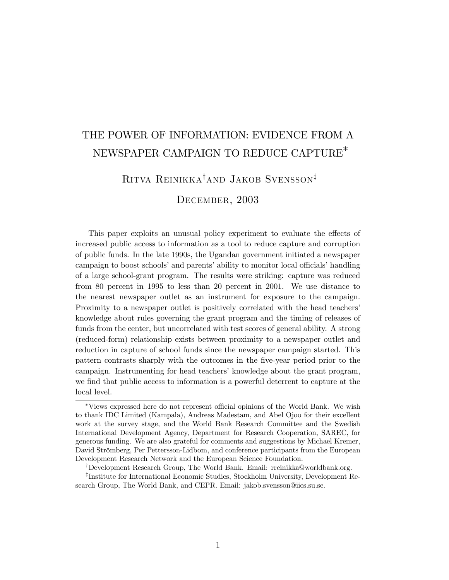# THE POWER OF INFORMATION: EVIDENCE FROM A NEWSPAPER CAMPAIGN TO REDUCE CAPTURE∗

# Ritva Reinikka†and Jakob Svensson‡

## December, 2003

This paper exploits an unusual policy experiment to evaluate the effects of increased public access to information as a tool to reduce capture and corruption of public funds. In the late 1990s, the Ugandan government initiated a newspaper campaign to boost schools' and parents' ability to monitor local officials' handling of a large school-grant program. The results were striking: capture was reduced from 80 percent in 1995 to less than 20 percent in 2001. We use distance to the nearest newspaper outlet as an instrument for exposure to the campaign. Proximity to a newspaper outlet is positively correlated with the head teachers' knowledge about rules governing the grant program and the timing of releases of funds from the center, but uncorrelated with test scores of general ability. A strong (reduced-form) relationship exists between proximity to a newspaper outlet and reduction in capture of school funds since the newspaper campaign started. This pattern contrasts sharply with the outcomes in the five-year period prior to the campaign. Instrumenting for head teachers' knowledge about the grant program, we find that public access to information is a powerful deterrent to capture at the local level.

<sup>∗</sup>Views expressed here do not represent official opinions of the World Bank. We wish to thank IDC Limited (Kampala), Andreas Madestam, and Abel Ojoo for their excellent work at the survey stage, and the World Bank Research Committee and the Swedish International Development Agency, Department for Research Cooperation, SAREC, for generous funding. We are also grateful for comments and suggestions by Michael Kremer, David Strömberg, Per Pettersson-Lidbom, and conference participants from the European Development Research Network and the European Science Foundation.

<sup>†</sup>Development Research Group, The World Bank. Email: rreinikka@worldbank.org.

<sup>‡</sup>Institute for International Economic Studies, Stockholm University, Development Research Group, The World Bank, and CEPR. Email: jakob.svensson@iies.su.se.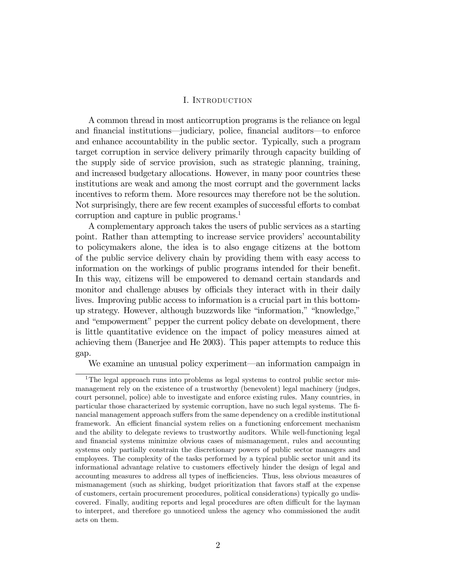#### I. Introduction

A common thread in most anticorruption programs is the reliance on legal and financial institutions–judiciary, police, financial auditors–to enforce and enhance accountability in the public sector. Typically, such a program target corruption in service delivery primarily through capacity building of the supply side of service provision, such as strategic planning, training, and increased budgetary allocations. However, in many poor countries these institutions are weak and among the most corrupt and the government lacks incentives to reform them. More resources may therefore not be the solution. Not surprisingly, there are few recent examples of successful efforts to combat corruption and capture in public programs.<sup>1</sup>

A complementary approach takes the users of public services as a starting point. Rather than attempting to increase service providers' accountability to policymakers alone, the idea is to also engage citizens at the bottom of the public service delivery chain by providing them with easy access to information on the workings of public programs intended for their benefit. In this way, citizens will be empowered to demand certain standards and monitor and challenge abuses by officials they interact with in their daily lives. Improving public access to information is a crucial part in this bottomup strategy. However, although buzzwords like "information," "knowledge," and "empowerment" pepper the current policy debate on development, there is little quantitative evidence on the impact of policy measures aimed at achieving them (Banerjee and He 2003). This paper attempts to reduce this gap.

We examine an unusual policy experiment–an information campaign in

<sup>&</sup>lt;sup>1</sup>The legal approach runs into problems as legal systems to control public sector mismanagement rely on the existence of a trustworthy (benevolent) legal machinery (judges, court personnel, police) able to investigate and enforce existing rules. Many countries, in particular those characterized by systemic corruption, have no such legal systems. The financial management approach suffers from the same dependency on a credible institutional framework. An efficient financial system relies on a functioning enforcement mechanism and the ability to delegate reviews to trustworthy auditors. While well-functioning legal and financial systems minimize obvious cases of mismanagement, rules and accounting systems only partially constrain the discretionary powers of public sector managers and employees. The complexity of the tasks performed by a typical public sector unit and its informational advantage relative to customers effectively hinder the design of legal and accounting measures to address all types of inefficiencies. Thus, less obvious measures of mismanagement (such as shirking, budget prioritization that favors staff at the expense of customers, certain procurement procedures, political considerations) typically go undiscovered. Finally, auditing reports and legal procedures are often difficult for the layman to interpret, and therefore go unnoticed unless the agency who commissioned the audit acts on them.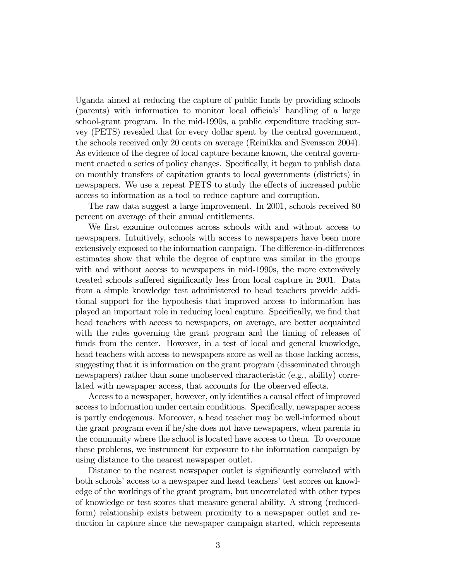Uganda aimed at reducing the capture of public funds by providing schools (parents) with information to monitor local officials' handling of a large school-grant program. In the mid-1990s, a public expenditure tracking survey (PETS) revealed that for every dollar spent by the central government, the schools received only 20 cents on average (Reinikka and Svensson 2004). As evidence of the degree of local capture became known, the central government enacted a series of policy changes. Specifically, it began to publish data on monthly transfers of capitation grants to local governments (districts) in newspapers. We use a repeat PETS to study the effects of increased public access to information as a tool to reduce capture and corruption.

The raw data suggest a large improvement. In 2001, schools received 80 percent on average of their annual entitlements.

We first examine outcomes across schools with and without access to newspapers. Intuitively, schools with access to newspapers have been more extensively exposed to the information campaign. The difference-in-differences estimates show that while the degree of capture was similar in the groups with and without access to newspapers in mid-1990s, the more extensively treated schools suffered significantly less from local capture in 2001. Data from a simple knowledge test administered to head teachers provide additional support for the hypothesis that improved access to information has played an important role in reducing local capture. Specifically, we find that head teachers with access to newspapers, on average, are better acquainted with the rules governing the grant program and the timing of releases of funds from the center. However, in a test of local and general knowledge, head teachers with access to newspapers score as well as those lacking access, suggesting that it is information on the grant program (disseminated through newspapers) rather than some unobserved characteristic (e.g., ability) correlated with newspaper access, that accounts for the observed effects.

Access to a newspaper, however, only identifies a causal effect of improved access to information under certain conditions. Specifically, newspaper access is partly endogenous. Moreover, a head teacher may be well-informed about the grant program even if he/she does not have newspapers, when parents in the community where the school is located have access to them. To overcome these problems, we instrument for exposure to the information campaign by using distance to the nearest newspaper outlet.

Distance to the nearest newspaper outlet is significantly correlated with both schools' access to a newspaper and head teachers' test scores on knowledge of the workings of the grant program, but uncorrelated with other types of knowledge or test scores that measure general ability. A strong (reducedform) relationship exists between proximity to a newspaper outlet and reduction in capture since the newspaper campaign started, which represents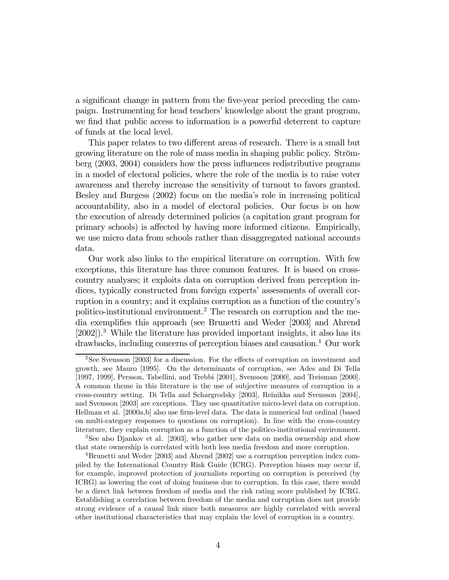a significant change in pattern from the five-year period preceding the campaign. Instrumenting for head teachers' knowledge about the grant program, we find that public access to information is a powerful deterrent to capture of funds at the local level.

This paper relates to two different areas of research. There is a small but growing literature on the role of mass media in shaping public policy. Strömberg (2003, 2004) considers how the press influences redistributive programs in a model of electoral policies, where the role of the media is to raise voter awareness and thereby increase the sensitivity of turnout to favors granted. Besley and Burgess (2002) focus on the media's role in increasing political accountability, also in a model of electoral policies. Our focus is on how the execution of already determined policies (a capitation grant program for primary schools) is affected by having more informed citizens. Empirically, we use micro data from schools rather than disaggregated national accounts data.

Our work also links to the empirical literature on corruption. With few exceptions, this literature has three common features. It is based on crosscountry analyses; it exploits data on corruption derived from perception indices, typically constructed from foreign experts' assessments of overall corruption in a country; and it explains corruption as a function of the country's politico-institutional environment.2 The research on corruption and the media exemplifies this approach (see Brunetti and Weder [2003] and Ahrend [2002]).3 While the literature has provided important insights, it also has its drawbacks, including concerns of perception biases and causation.4 Our work

<sup>&</sup>lt;sup>2</sup>See Svensson [2003] for a discussion. For the effects of corruption on investment and growth, see Mauro [1995]. On the determinants of corruption, see Ades and Di Tella [1997, 1999], Persson, Tabellini, and Trebbi [2001], Svensson [2000], and Treisman [2000]. A common theme in this literature is the use of subjective measures of corruption in a cross-country setting. Di Tella and Schargrodsky [2003], Reinikka and Svensson [2004], and Svensson [2003] are exceptions. They use quantitative micro-level data on corruption. Hellman et al. [2000a,b] also use firm-level data. The data is numerical but ordinal (based on multi-category responses to questions on corruption). In line with the cross-country literature, they explain corruption as a function of the politico-institutional environment.

<sup>3</sup>See also Djankov et al. [2003], who gather new data on media ownership and show that state ownership is correlated with both less media freedom and more corruption.

<sup>4</sup>Brunetti and Weder [2003] and Ahrend [2002] use a corruption perception index compiled by the International Country Risk Guide (ICRG). Perception biases may occur if, for example, improved protection of journalists reporting on corruption is perceived (by ICRG) as lowering the cost of doing business due to corruption. In this case, there would be a direct link between freedom of media and the risk rating score published by ICRG. Establishing a correlation between freedom of the media and corruption does not provide strong evidence of a causal link since both measures are highly correlated with several other institutional characteristics that may explain the level of corruption in a country.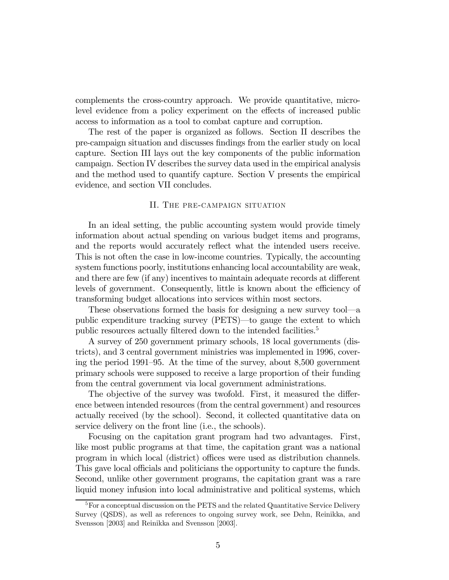complements the cross-country approach. We provide quantitative, microlevel evidence from a policy experiment on the effects of increased public access to information as a tool to combat capture and corruption.

The rest of the paper is organized as follows. Section II describes the pre-campaign situation and discusses findings from the earlier study on local capture. Section III lays out the key components of the public information campaign. Section IV describes the survey data used in the empirical analysis and the method used to quantify capture. Section V presents the empirical evidence, and section VII concludes.

#### II. The pre-campaign situation

In an ideal setting, the public accounting system would provide timely information about actual spending on various budget items and programs, and the reports would accurately reflect what the intended users receive. This is not often the case in low-income countries. Typically, the accounting system functions poorly, institutions enhancing local accountability are weak, and there are few (if any) incentives to maintain adequate records at different levels of government. Consequently, little is known about the efficiency of transforming budget allocations into services within most sectors.

These observations formed the basis for designing a new survey tool–a public expenditure tracking survey (PETS)–to gauge the extent to which public resources actually filtered down to the intended facilities.<sup>5</sup>

A survey of 250 government primary schools, 18 local governments (districts), and 3 central government ministries was implemented in 1996, covering the period 1991—95. At the time of the survey, about 8,500 government primary schools were supposed to receive a large proportion of their funding from the central government via local government administrations.

The objective of the survey was twofold. First, it measured the difference between intended resources (from the central government) and resources actually received (by the school). Second, it collected quantitative data on service delivery on the front line (i.e., the schools).

Focusing on the capitation grant program had two advantages. First, like most public programs at that time, the capitation grant was a national program in which local (district) offices were used as distribution channels. This gave local officials and politicians the opportunity to capture the funds. Second, unlike other government programs, the capitation grant was a rare liquid money infusion into local administrative and political systems, which

 ${}^{5}$  For a conceptual discussion on the PETS and the related Quantitative Service Delivery Survey (QSDS), as well as references to ongoing survey work, see Dehn, Reinikka, and Svensson [2003] and Reinikka and Svensson [2003].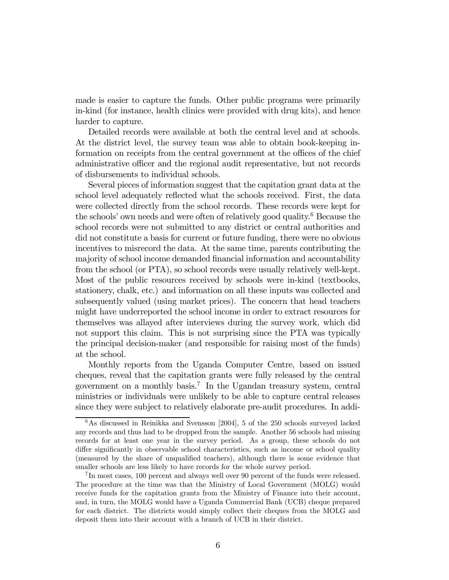made is easier to capture the funds. Other public programs were primarily in-kind (for instance, health clinics were provided with drug kits), and hence harder to capture.

Detailed records were available at both the central level and at schools. At the district level, the survey team was able to obtain book-keeping information on receipts from the central government at the offices of the chief administrative officer and the regional audit representative, but not records of disbursements to individual schools.

Several pieces of information suggest that the capitation grant data at the school level adequately reflected what the schools received. First, the data were collected directly from the school records. These records were kept for the schools' own needs and were often of relatively good quality.6 Because the school records were not submitted to any district or central authorities and did not constitute a basis for current or future funding, there were no obvious incentives to misrecord the data. At the same time, parents contributing the majority of school income demanded financial information and accountability from the school (or PTA), so school records were usually relatively well-kept. Most of the public resources received by schools were in-kind (textbooks, stationery, chalk, etc.) and information on all these inputs was collected and subsequently valued (using market prices). The concern that head teachers might have underreported the school income in order to extract resources for themselves was allayed after interviews during the survey work, which did not support this claim. This is not surprising since the PTA was typically the principal decision-maker (and responsible for raising most of the funds) at the school.

Monthly reports from the Uganda Computer Centre, based on issued cheques, reveal that the capitation grants were fully released by the central government on a monthly basis.7 In the Ugandan treasury system, central ministries or individuals were unlikely to be able to capture central releases since they were subject to relatively elaborate pre-audit procedures. In addi-

 $6$ As discussed in Reinikka and Svensson [2004], 5 of the 250 schools surveyed lacked any records and thus had to be dropped from the sample. Another 56 schools had missing records for at least one year in the survey period. As a group, these schools do not differ significantly in observable school characteristics, such as income or school quality (measured by the share of unqualified teachers), although there is some evidence that smaller schools are less likely to have records for the whole survey period.

<sup>7</sup> In most cases, 100 percent and always well over 90 percent of the funds were released. The procedure at the time was that the Ministry of Local Government (MOLG) would receive funds for the capitation grants from the Ministry of Finance into their account, and, in turn, the MOLG would have a Uganda Commercial Bank (UCB) cheque prepared for each district. The districts would simply collect their cheques from the MOLG and deposit them into their account with a branch of UCB in their district.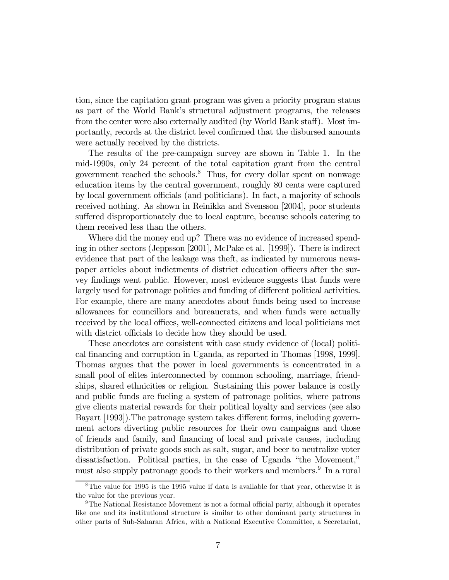tion, since the capitation grant program was given a priority program status as part of the World Bank's structural adjustment programs, the releases from the center were also externally audited (by World Bank staff). Most importantly, records at the district level confirmed that the disbursed amounts were actually received by the districts.

The results of the pre-campaign survey are shown in Table 1. In the mid-1990s, only 24 percent of the total capitation grant from the central government reached the schools.8 Thus, for every dollar spent on nonwage education items by the central government, roughly 80 cents were captured by local government officials (and politicians). In fact, a majority of schools received nothing. As shown in Reinikka and Svensson [2004], poor students suffered disproportionately due to local capture, because schools catering to them received less than the others.

Where did the money end up? There was no evidence of increased spending in other sectors (Jeppsson [2001], McPake et al. [1999]). There is indirect evidence that part of the leakage was theft, as indicated by numerous newspaper articles about indictments of district education officers after the survey findings went public. However, most evidence suggests that funds were largely used for patronage politics and funding of different political activities. For example, there are many anecdotes about funds being used to increase allowances for councillors and bureaucrats, and when funds were actually received by the local offices, well-connected citizens and local politicians met with district officials to decide how they should be used.

These anecdotes are consistent with case study evidence of (local) political financing and corruption in Uganda, as reported in Thomas [1998, 1999]. Thomas argues that the power in local governments is concentrated in a small pool of elites interconnected by common schooling, marriage, friendships, shared ethnicities or religion. Sustaining this power balance is costly and public funds are fueling a system of patronage politics, where patrons give clients material rewards for their political loyalty and services (see also Bayart [1993]).The patronage system takes different forms, including government actors diverting public resources for their own campaigns and those of friends and family, and financing of local and private causes, including distribution of private goods such as salt, sugar, and beer to neutralize voter dissatisfaction. Political parties, in the case of Uganda "the Movement," must also supply patronage goods to their workers and members.<sup>9</sup> In a rural

<sup>8</sup>The value for 1995 is the 1995 value if data is available for that year, otherwise it is the value for the previous year.

<sup>&</sup>lt;sup>9</sup>The National Resistance Movement is not a formal official party, although it operates like one and its institutional structure is similar to other dominant party structures in other parts of Sub-Saharan Africa, with a National Executive Committee, a Secretariat,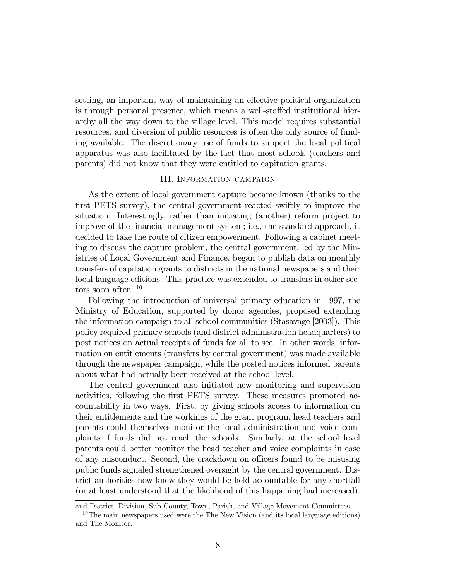setting, an important way of maintaining an effective political organization is through personal presence, which means a well-staffed institutional hierarchy all the way down to the village level. This model requires substantial resources, and diversion of public resources is often the only source of funding available. The discretionary use of funds to support the local political apparatus was also facilitated by the fact that most schools (teachers and parents) did not know that they were entitled to capitation grants.

#### III. Information campaign

As the extent of local government capture became known (thanks to the first PETS survey), the central government reacted swiftly to improve the situation. Interestingly, rather than initiating (another) reform project to improve of the financial management system; i.e., the standard approach, it decided to take the route of citizen empowerment. Following a cabinet meeting to discuss the capture problem, the central government, led by the Ministries of Local Government and Finance, began to publish data on monthly transfers of capitation grants to districts in the national newspapers and their local language editions. This practice was extended to transfers in other sectors soon after. <sup>10</sup>

Following the introduction of universal primary education in 1997, the Ministry of Education, supported by donor agencies, proposed extending the information campaign to all school communities (Stasavage [2003]). This policy required primary schools (and district administration headquarters) to post notices on actual receipts of funds for all to see. In other words, information on entitlements (transfers by central government) was made available through the newspaper campaign, while the posted notices informed parents about what had actually been received at the school level.

The central government also initiated new monitoring and supervision activities, following the first PETS survey. These measures promoted accountability in two ways. First, by giving schools access to information on their entitlements and the workings of the grant program, head teachers and parents could themselves monitor the local administration and voice complaints if funds did not reach the schools. Similarly, at the school level parents could better monitor the head teacher and voice complaints in case of any misconduct. Second, the crackdown on officers found to be misusing public funds signaled strengthened oversight by the central government. District authorities now knew they would be held accountable for any shortfall (or at least understood that the likelihood of this happening had increased).

and District, Division, Sub-County, Town, Parish, and Village Movement Committees.

<sup>&</sup>lt;sup>10</sup>The main newspapers used were the The New Vision (and its local language editions) and The Monitor.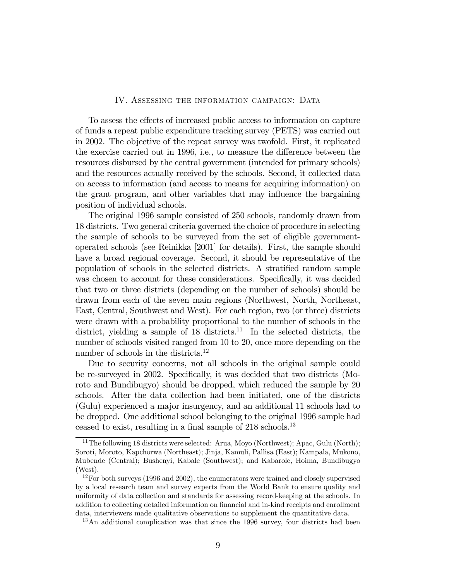#### IV. Assessing the information campaign: Data

To assess the effects of increased public access to information on capture of funds a repeat public expenditure tracking survey (PETS) was carried out in 2002. The objective of the repeat survey was twofold. First, it replicated the exercise carried out in 1996, i.e., to measure the difference between the resources disbursed by the central government (intended for primary schools) and the resources actually received by the schools. Second, it collected data on access to information (and access to means for acquiring information) on the grant program, and other variables that may influence the bargaining position of individual schools.

The original 1996 sample consisted of 250 schools, randomly drawn from 18 districts. Two general criteria governed the choice of procedure in selecting the sample of schools to be surveyed from the set of eligible governmentoperated schools (see Reinikka [2001] for details). First, the sample should have a broad regional coverage. Second, it should be representative of the population of schools in the selected districts. A stratified random sample was chosen to account for these considerations. Specifically, it was decided that two or three districts (depending on the number of schools) should be drawn from each of the seven main regions (Northwest, North, Northeast, East, Central, Southwest and West). For each region, two (or three) districts were drawn with a probability proportional to the number of schools in the district, yielding a sample of  $18$  districts.<sup>11</sup> In the selected districts, the number of schools visited ranged from 10 to 20, once more depending on the number of schools in the districts.<sup>12</sup>

Due to security concerns, not all schools in the original sample could be re-surveyed in 2002. Specifically, it was decided that two districts (Moroto and Bundibugyo) should be dropped, which reduced the sample by 20 schools. After the data collection had been initiated, one of the districts (Gulu) experienced a major insurgency, and an additional 11 schools had to be dropped. One additional school belonging to the original 1996 sample had ceased to exist, resulting in a final sample of 218 schools.13

<sup>&</sup>lt;sup>11</sup>The following 18 districts were selected: Arua, Moyo (Northwest); Apac, Gulu (North); Soroti, Moroto, Kapchorwa (Northeast); Jinja, Kamuli, Pallisa (East); Kampala, Mukono, Mubende (Central); Bushenyi, Kabale (Southwest); and Kabarole, Hoima, Bundibugyo (West).

 $12$  For both surveys (1996 and 2002), the enumerators were trained and closely supervised by a local research team and survey experts from the World Bank to ensure quality and uniformity of data collection and standards for assessing record-keeping at the schools. In addition to collecting detailed information on financial and in-kind receipts and enrollment data, interviewers made qualitative observations to supplement the quantitative data.

<sup>&</sup>lt;sup>13</sup>An additional complication was that since the 1996 survey, four districts had been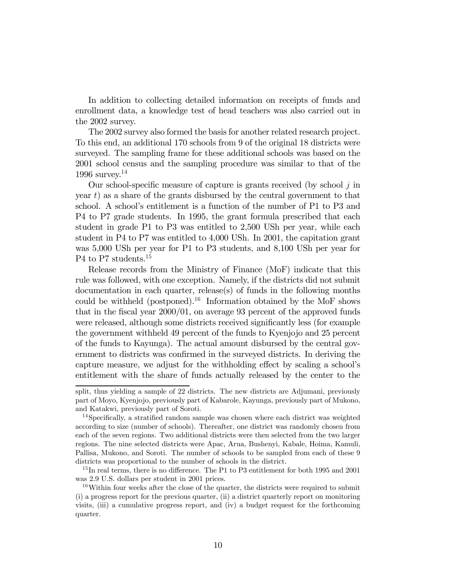In addition to collecting detailed information on receipts of funds and enrollment data, a knowledge test of head teachers was also carried out in the 2002 survey.

The 2002 survey also formed the basis for another related research project. To this end, an additional 170 schools from 9 of the original 18 districts were surveyed. The sampling frame for these additional schools was based on the 2001 school census and the sampling procedure was similar to that of the 1996 survey.<sup>14</sup>

Our school-specific measure of capture is grants received (by school  $j$  in year  $t$ ) as a share of the grants disbursed by the central government to that school. A school's entitlement is a function of the number of P1 to P3 and P4 to P7 grade students. In 1995, the grant formula prescribed that each student in grade P1 to P3 was entitled to 2,500 USh per year, while each student in P4 to P7 was entitled to 4,000 USh. In 2001, the capitation grant was 5,000 USh per year for P1 to P3 students, and 8,100 USh per year for P<sub>4</sub> to P<sub>7</sub> students.<sup>15</sup>

Release records from the Ministry of Finance (MoF) indicate that this rule was followed, with one exception. Namely, if the districts did not submit documentation in each quarter, release(s) of funds in the following months could be withheld (postponed).<sup>16</sup> Information obtained by the MoF shows that in the fiscal year 2000/01, on average 93 percent of the approved funds were released, although some districts received significantly less (for example the government withheld 49 percent of the funds to Kyenjojo and 25 percent of the funds to Kayunga). The actual amount disbursed by the central government to districts was confirmed in the surveyed districts. In deriving the capture measure, we adjust for the withholding effect by scaling a school's entitlement with the share of funds actually released by the center to the

split, thus yielding a sample of 22 districts. The new districts are Adjumani, previously part of Moyo, Kyenjojo, previously part of Kabarole, Kayunga, previously part of Mukono, and Katakwi, previously part of Soroti.

<sup>&</sup>lt;sup>14</sup>Specifically, a stratified random sample was chosen where each district was weighted according to size (number of schools). Thereafter, one district was randomly chosen from each of the seven regions. Two additional districts were then selected from the two larger regions. The nine selected districts were Apac, Arua, Bushenyi, Kabale, Hoima, Kamuli, Pallisa, Mukono, and Soroti. The number of schools to be sampled from each of these 9 districts was proportional to the number of schools in the district.

<sup>&</sup>lt;sup>15</sup>In real terms, there is no difference. The P1 to P3 entitlement for both 1995 and 2001 was 2.9 U.S. dollars per student in 2001 prices.

 $16$ Within four weeks after the close of the quarter, the districts were required to submit (i) a progress report for the previous quarter, (ii) a district quarterly report on monitoring visits, (iii) a cumulative progress report, and (iv) a budget request for the forthcoming quarter.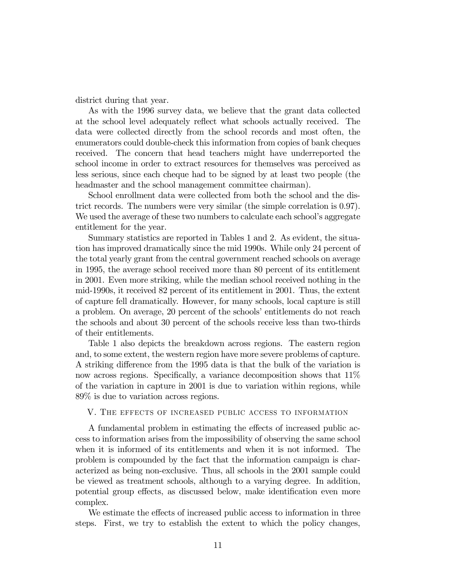district during that year.

As with the 1996 survey data, we believe that the grant data collected at the school level adequately reflect what schools actually received. The data were collected directly from the school records and most often, the enumerators could double-check this information from copies of bank cheques received. The concern that head teachers might have underreported the school income in order to extract resources for themselves was perceived as less serious, since each cheque had to be signed by at least two people (the headmaster and the school management committee chairman).

School enrollment data were collected from both the school and the district records. The numbers were very similar (the simple correlation is 0.97). We used the average of these two numbers to calculate each school's aggregate entitlement for the year.

Summary statistics are reported in Tables 1 and 2. As evident, the situation has improved dramatically since the mid 1990s. While only 24 percent of the total yearly grant from the central government reached schools on average in 1995, the average school received more than 80 percent of its entitlement in 2001. Even more striking, while the median school received nothing in the mid-1990s, it received 82 percent of its entitlement in 2001. Thus, the extent of capture fell dramatically. However, for many schools, local capture is still a problem. On average, 20 percent of the schools' entitlements do not reach the schools and about 30 percent of the schools receive less than two-thirds of their entitlements.

Table 1 also depicts the breakdown across regions. The eastern region and, to some extent, the western region have more severe problems of capture. A striking difference from the 1995 data is that the bulk of the variation is now across regions. Specifically, a variance decomposition shows that 11% of the variation in capture in 2001 is due to variation within regions, while 89% is due to variation across regions.

#### V. The effects of increased public access to information

A fundamental problem in estimating the effects of increased public access to information arises from the impossibility of observing the same school when it is informed of its entitlements and when it is not informed. The problem is compounded by the fact that the information campaign is characterized as being non-exclusive. Thus, all schools in the 2001 sample could be viewed as treatment schools, although to a varying degree. In addition, potential group effects, as discussed below, make identification even more complex.

We estimate the effects of increased public access to information in three steps. First, we try to establish the extent to which the policy changes,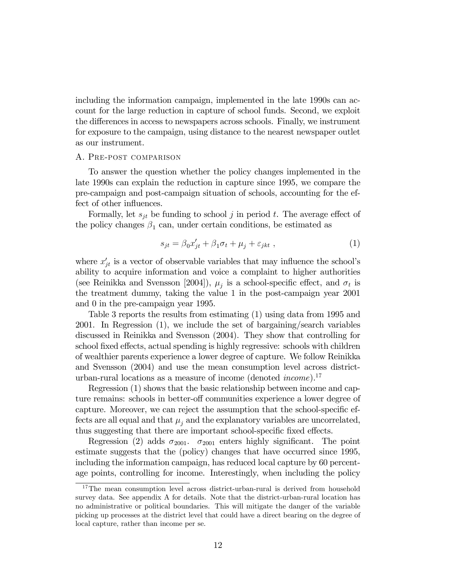including the information campaign, implemented in the late 1990s can account for the large reduction in capture of school funds. Second, we exploit the differences in access to newspapers across schools. Finally, we instrument for exposure to the campaign, using distance to the nearest newspaper outlet as our instrument.

#### A. Pre-post comparison

To answer the question whether the policy changes implemented in the late 1990s can explain the reduction in capture since 1995, we compare the pre-campaign and post-campaign situation of schools, accounting for the effect of other influences.

Formally, let  $s_{it}$  be funding to school j in period t. The average effect of the policy changes  $\beta_1$  can, under certain conditions, be estimated as

$$
s_{jt} = \beta_0 x'_{jt} + \beta_1 \sigma_t + \mu_j + \varepsilon_{jkt} \tag{1}
$$

where  $x'_{jt}$  is a vector of observable variables that may influence the school's ability to acquire information and voice a complaint to higher authorities (see Reinikka and Svensson [2004]),  $\mu_i$  is a school-specific effect, and  $\sigma_t$  is the treatment dummy, taking the value 1 in the post-campaign year 2001 and 0 in the pre-campaign year 1995.

Table 3 reports the results from estimating (1) using data from 1995 and 2001. In Regression (1), we include the set of bargaining/search variables discussed in Reinikka and Svensson (2004). They show that controlling for school fixed effects, actual spending is highly regressive: schools with children of wealthier parents experience a lower degree of capture. We follow Reinikka and Svensson (2004) and use the mean consumption level across districturban-rural locations as a measure of income (denoted *income*).<sup>17</sup>

Regression (1) shows that the basic relationship between income and capture remains: schools in better-off communities experience a lower degree of capture. Moreover, we can reject the assumption that the school-specific effects are all equal and that  $\mu_i$  and the explanatory variables are uncorrelated, thus suggesting that there are important school-specific fixed effects.

Regression (2) adds  $\sigma_{2001}$ .  $\sigma_{2001}$  enters highly significant. The point estimate suggests that the (policy) changes that have occurred since 1995, including the information campaign, has reduced local capture by 60 percentage points, controlling for income. Interestingly, when including the policy

<sup>&</sup>lt;sup>17</sup>The mean consumption level across district-urban-rural is derived from household survey data. See appendix A for details. Note that the district-urban-rural location has no administrative or political boundaries. This will mitigate the danger of the variable picking up processes at the district level that could have a direct bearing on the degree of local capture, rather than income per se.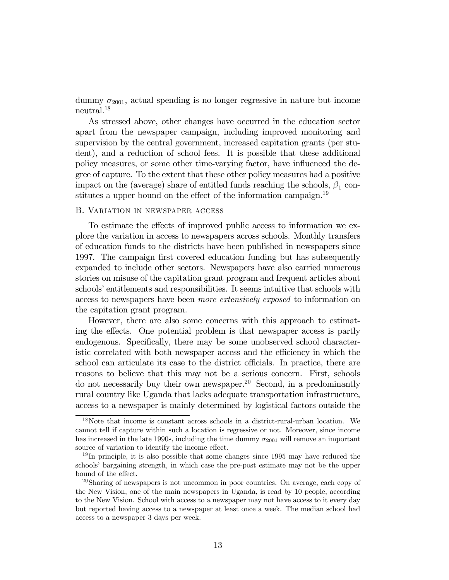dummy  $\sigma_{2001}$ , actual spending is no longer regressive in nature but income neutral.18

As stressed above, other changes have occurred in the education sector apart from the newspaper campaign, including improved monitoring and supervision by the central government, increased capitation grants (per student), and a reduction of school fees. It is possible that these additional policy measures, or some other time-varying factor, have influenced the degree of capture. To the extent that these other policy measures had a positive impact on the (average) share of entitled funds reaching the schools,  $\beta_1$  constitutes a upper bound on the effect of the information campaign.<sup>19</sup>

### B. Variation in newspaper access

To estimate the effects of improved public access to information we explore the variation in access to newspapers across schools. Monthly transfers of education funds to the districts have been published in newspapers since 1997. The campaign first covered education funding but has subsequently expanded to include other sectors. Newspapers have also carried numerous stories on misuse of the capitation grant program and frequent articles about schools' entitlements and responsibilities. It seems intuitive that schools with access to newspapers have been more extensively exposed to information on the capitation grant program.

However, there are also some concerns with this approach to estimating the effects. One potential problem is that newspaper access is partly endogenous. Specifically, there may be some unobserved school characteristic correlated with both newspaper access and the efficiency in which the school can articulate its case to the district officials. In practice, there are reasons to believe that this may not be a serious concern. First, schools do not necessarily buy their own newspaper.<sup>20</sup> Second, in a predominantly rural country like Uganda that lacks adequate transportation infrastructure, access to a newspaper is mainly determined by logistical factors outside the

<sup>18</sup>Note that income is constant across schools in a district-rural-urban location. We cannot tell if capture within such a location is regressive or not. Moreover, since income has increased in the late 1990s, including the time dummy  $\sigma_{2001}$  will remove an important source of variation to identify the income effect.

 $19\text{In principle}$ , it is also possible that some changes since 1995 may have reduced the schools' bargaining strength, in which case the pre-post estimate may not be the upper bound of the effect.

<sup>20</sup>Sharing of newspapers is not uncommon in poor countries. On average, each copy of the New Vision, one of the main newspapers in Uganda, is read by 10 people, according to the New Vision. School with access to a newspaper may not have access to it every day but reported having access to a newspaper at least once a week. The median school had access to a newspaper 3 days per week.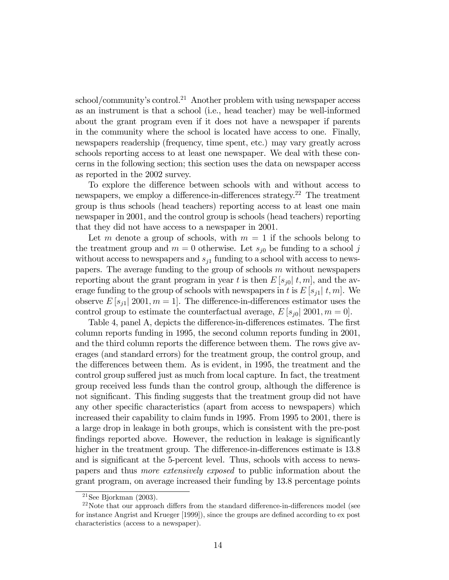$\frac{\text{school}}{\text{community's control}}$ .<sup>21</sup> Another problem with using newspaper access as an instrument is that a school (i.e., head teacher) may be well-informed about the grant program even if it does not have a newspaper if parents in the community where the school is located have access to one. Finally, newspapers readership (frequency, time spent, etc.) may vary greatly across schools reporting access to at least one newspaper. We deal with these concerns in the following section; this section uses the data on newspaper access as reported in the 2002 survey.

To explore the difference between schools with and without access to newspapers, we employ a difference-in-differences strategy.<sup>22</sup> The treatment group is thus schools (head teachers) reporting access to at least one main newspaper in 2001, and the control group is schools (head teachers) reporting that they did not have access to a newspaper in 2001.

Let m denote a group of schools, with  $m = 1$  if the schools belong to the treatment group and  $m = 0$  otherwise. Let  $s_{j0}$  be funding to a school j without access to newspapers and  $s_{j1}$  funding to a school with access to newspapers. The average funding to the group of schools  $m$  without newspapers reporting about the grant program in year t is then  $E[s_{j0}]$  t, m, and the average funding to the group of schools with newspapers in t is  $E[s_{i1}] t, m$ . We observe  $E[s_{i1}]$  2001,  $m = 1$ . The difference-in-differences estimator uses the control group to estimate the counterfactual average,  $E[s_{i0}]$  2001,  $m = 0$ .

Table 4, panel A, depicts the difference-in-differences estimates. The first column reports funding in 1995, the second column reports funding in 2001, and the third column reports the difference between them. The rows give averages (and standard errors) for the treatment group, the control group, and the differences between them. As is evident, in 1995, the treatment and the control group suffered just as much from local capture. In fact, the treatment group received less funds than the control group, although the difference is not significant. This finding suggests that the treatment group did not have any other specific characteristics (apart from access to newspapers) which increased their capability to claim funds in 1995. From 1995 to 2001, there is a large drop in leakage in both groups, which is consistent with the pre-post findings reported above. However, the reduction in leakage is significantly higher in the treatment group. The difference-in-differences estimate is 13.8 and is significant at the 5-percent level. Thus, schools with access to newspapers and thus more extensively exposed to public information about the grant program, on average increased their funding by 13.8 percentage points

<sup>&</sup>lt;sup>21</sup>See Bjorkman  $(2003)$ .

 $22$ Note that our approach differs from the standard difference-in-differences model (see for instance Angrist and Krueger [1999]), since the groups are defined according to ex post characteristics (access to a newspaper).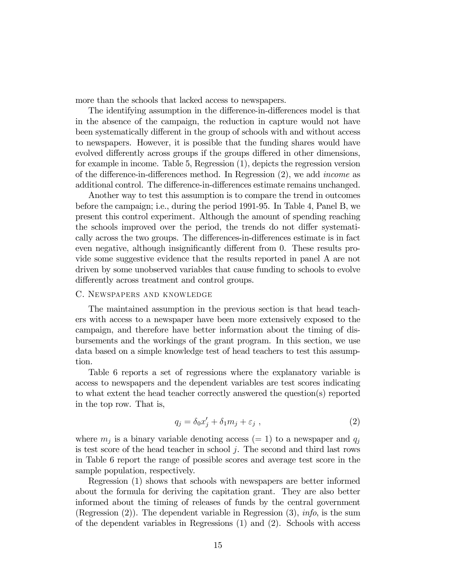more than the schools that lacked access to newspapers.

The identifying assumption in the difference-in-differences model is that in the absence of the campaign, the reduction in capture would not have been systematically different in the group of schools with and without access to newspapers. However, it is possible that the funding shares would have evolved differently across groups if the groups differed in other dimensions, for example in income. Table 5, Regression (1), depicts the regression version of the difference-in-differences method. In Regression (2), we add income as additional control. The difference-in-differences estimate remains unchanged.

Another way to test this assumption is to compare the trend in outcomes before the campaign; i.e., during the period 1991-95. In Table 4, Panel B, we present this control experiment. Although the amount of spending reaching the schools improved over the period, the trends do not differ systematically across the two groups. The differences-in-differences estimate is in fact even negative, although insignificantly different from 0. These results provide some suggestive evidence that the results reported in panel A are not driven by some unobserved variables that cause funding to schools to evolve differently across treatment and control groups.

#### C. Newspapers and knowledge

The maintained assumption in the previous section is that head teachers with access to a newspaper have been more extensively exposed to the campaign, and therefore have better information about the timing of disbursements and the workings of the grant program. In this section, we use data based on a simple knowledge test of head teachers to test this assumption.

Table 6 reports a set of regressions where the explanatory variable is access to newspapers and the dependent variables are test scores indicating to what extent the head teacher correctly answered the question(s) reported in the top row. That is,

$$
q_j = \delta_0 x'_j + \delta_1 m_j + \varepsilon_j \t\t(2)
$$

where  $m_i$  is a binary variable denoting access (= 1) to a newspaper and  $q_i$ is test score of the head teacher in school  $j$ . The second and third last rows in Table 6 report the range of possible scores and average test score in the sample population, respectively.

Regression (1) shows that schools with newspapers are better informed about the formula for deriving the capitation grant. They are also better informed about the timing of releases of funds by the central government (Regression  $(2)$ ). The dependent variable in Regression  $(3)$ , *info*, is the sum of the dependent variables in Regressions (1) and (2). Schools with access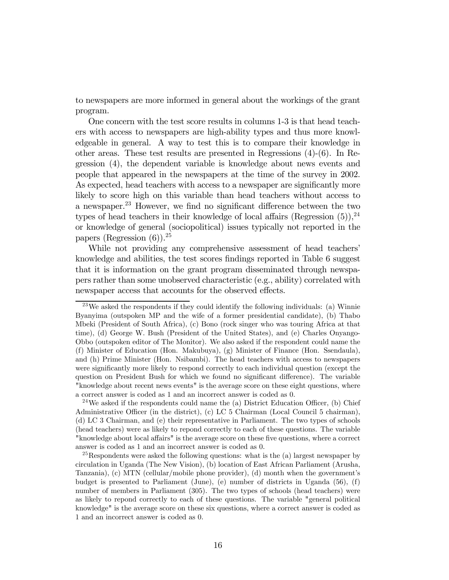to newspapers are more informed in general about the workings of the grant program.

One concern with the test score results in columns 1-3 is that head teachers with access to newspapers are high-ability types and thus more knowledgeable in general. A way to test this is to compare their knowledge in other areas. These test results are presented in Regressions (4)-(6). In Regression (4), the dependent variable is knowledge about news events and people that appeared in the newspapers at the time of the survey in 2002. As expected, head teachers with access to a newspaper are significantly more likely to score high on this variable than head teachers without access to a newspaper.23 However, we find no significant difference between the two types of head teachers in their knowledge of local affairs (Regression  $(5)$ ),<sup>24</sup> or knowledge of general (sociopolitical) issues typically not reported in the papers (Regression  $(6)$ ).<sup>25</sup>

While not providing any comprehensive assessment of head teachers' knowledge and abilities, the test scores findings reported in Table 6 suggest that it is information on the grant program disseminated through newspapers rather than some unobserved characteristic (e.g., ability) correlated with newspaper access that accounts for the observed effects.

<sup>&</sup>lt;sup>23</sup>We asked the respondents if they could identify the following individuals: (a) Winnie Byanyima (outspoken MP and the wife of a former presidential candidate), (b) Thabo Mbeki (President of South Africa), (c) Bono (rock singer who was touring Africa at that time), (d) George W. Bush (President of the United States), and (e) Charles Onyango-Obbo (outspoken editor of The Monitor). We also asked if the respondent could name the (f) Minister of Education (Hon. Makubuya), (g) Minister of Finance (Hon. Ssendaula), and (h) Prime Minister (Hon. Nsibambi). The head teachers with access to newspapers were significantly more likely to respond correctly to each individual question (except the question on President Bush for which we found no significant difference). The variable "knowledge about recent news events" is the average score on these eight questions, where a correct answer is coded as 1 and an incorrect answer is coded as 0.

<sup>&</sup>lt;sup>24</sup>We asked if the respondents could name the (a) District Education Officer, (b) Chief Administrative Officer (in the district), (c) LC 5 Chairman (Local Council 5 chairman), (d) LC 3 Chairman, and (e) their representative in Parliament. The two types of schools (head teachers) were as likely to repond correctly to each of these questions. The variable "knowledge about local affairs" is the average score on these five questions, where a correct answer is coded as 1 and an incorrect answer is coded as 0.

 $^{25}$ Respondents were asked the following questions: what is the (a) largest newspaper by circulation in Uganda (The New Vision), (b) location of East African Parliament (Arusha, Tanzania), (c) MTN (cellular/mobile phone provider), (d) month when the government's budget is presented to Parliament (June), (e) number of districts in Uganda (56), (f) number of members in Parliament (305). The two types of schools (head teachers) were as likely to repond correctly to each of these questions. The variable "general political knowledge" is the average score on these six questions, where a correct answer is coded as 1 and an incorrect answer is coded as 0.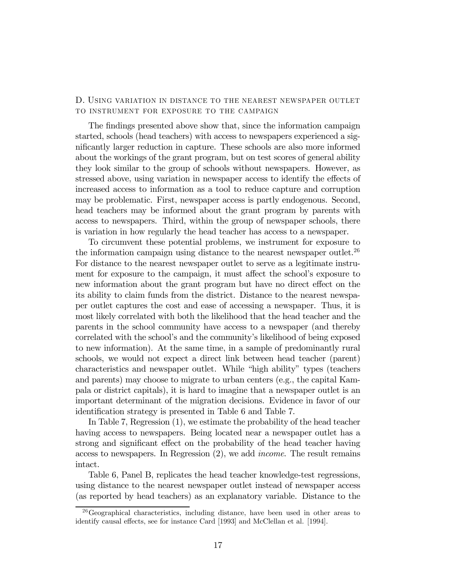# D. Using variation in distance to the nearest newspaper outlet to instrument for exposure to the campaign

The findings presented above show that, since the information campaign started, schools (head teachers) with access to newspapers experienced a significantly larger reduction in capture. These schools are also more informed about the workings of the grant program, but on test scores of general ability they look similar to the group of schools without newspapers. However, as stressed above, using variation in newspaper access to identify the effects of increased access to information as a tool to reduce capture and corruption may be problematic. First, newspaper access is partly endogenous. Second, head teachers may be informed about the grant program by parents with access to newspapers. Third, within the group of newspaper schools, there is variation in how regularly the head teacher has access to a newspaper.

To circumvent these potential problems, we instrument for exposure to the information campaign using distance to the nearest newspaper outlet.<sup>26</sup> For distance to the nearest newspaper outlet to serve as a legitimate instrument for exposure to the campaign, it must affect the school's exposure to new information about the grant program but have no direct effect on the its ability to claim funds from the district. Distance to the nearest newspaper outlet captures the cost and ease of accessing a newspaper. Thus, it is most likely correlated with both the likelihood that the head teacher and the parents in the school community have access to a newspaper (and thereby correlated with the school's and the community's likelihood of being exposed to new information). At the same time, in a sample of predominantly rural schools, we would not expect a direct link between head teacher (parent) characteristics and newspaper outlet. While "high ability" types (teachers and parents) may choose to migrate to urban centers (e.g., the capital Kampala or district capitals), it is hard to imagine that a newspaper outlet is an important determinant of the migration decisions. Evidence in favor of our identification strategy is presented in Table 6 and Table 7.

In Table 7, Regression (1), we estimate the probability of the head teacher having access to newspapers. Being located near a newspaper outlet has a strong and significant effect on the probability of the head teacher having access to newspapers. In Regression (2), we add income. The result remains intact.

Table 6, Panel B, replicates the head teacher knowledge-test regressions, using distance to the nearest newspaper outlet instead of newspaper access (as reported by head teachers) as an explanatory variable. Distance to the

<sup>26</sup>Geographical characteristics, including distance, have been used in other areas to identify causal effects, see for instance Card [1993] and McClellan et al. [1994].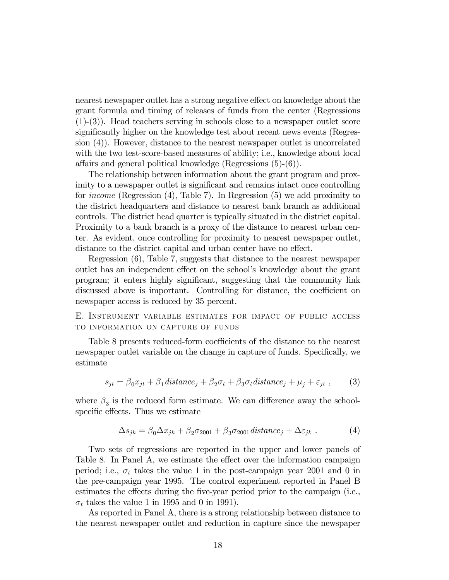nearest newspaper outlet has a strong negative effect on knowledge about the grant formula and timing of releases of funds from the center (Regressions (1)-(3)). Head teachers serving in schools close to a newspaper outlet score significantly higher on the knowledge test about recent news events (Regression (4)). However, distance to the nearest newspaper outlet is uncorrelated with the two test-score-based measures of ability; i.e., knowledge about local affairs and general political knowledge (Regressions (5)-(6)).

The relationship between information about the grant program and proximity to a newspaper outlet is significant and remains intact once controlling for income (Regression (4), Table 7). In Regression (5) we add proximity to the district headquarters and distance to nearest bank branch as additional controls. The district head quarter is typically situated in the district capital. Proximity to a bank branch is a proxy of the distance to nearest urban center. As evident, once controlling for proximity to nearest newspaper outlet, distance to the district capital and urban center have no effect.

Regression (6), Table 7, suggests that distance to the nearest newspaper outlet has an independent effect on the school's knowledge about the grant program; it enters highly significant, suggesting that the community link discussed above is important. Controlling for distance, the coefficient on newspaper access is reduced by 35 percent.

E. Instrument variable estimates for impact of public access to information on capture of funds

Table 8 presents reduced-form coefficients of the distance to the nearest newspaper outlet variable on the change in capture of funds. Specifically, we estimate

$$
s_{jt} = \beta_0 x_{jt} + \beta_1 \, distance_j + \beta_2 \sigma_t + \beta_3 \sigma_t \, distance_j + \mu_j + \varepsilon_{jt} \,,\tag{3}
$$

where  $\beta_3$  is the reduced form estimate. We can difference away the schoolspecific effects. Thus we estimate

$$
\Delta s_{jk} = \beta_0 \Delta x_{jk} + \beta_2 \sigma_{2001} + \beta_3 \sigma_{2001} \, distance_j + \Delta \varepsilon_{jk} \,. \tag{4}
$$

Two sets of regressions are reported in the upper and lower panels of Table 8. In Panel A, we estimate the effect over the information campaign period; i.e.,  $\sigma_t$  takes the value 1 in the post-campaign year 2001 and 0 in the pre-campaign year 1995. The control experiment reported in Panel B estimates the effects during the five-year period prior to the campaign (i.e.,  $\sigma_t$  takes the value 1 in 1995 and 0 in 1991).

As reported in Panel A, there is a strong relationship between distance to the nearest newspaper outlet and reduction in capture since the newspaper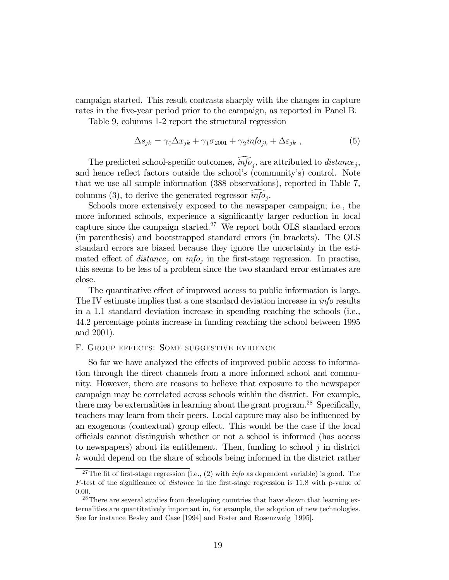campaign started. This result contrasts sharply with the changes in capture rates in the five-year period prior to the campaign, as reported in Panel B.

Table 9, columns 1-2 report the structural regression

$$
\Delta s_{jk} = \gamma_0 \Delta x_{jk} + \gamma_1 \sigma_{2001} + \gamma_2 i n f o_{jk} + \Delta \varepsilon_{jk} , \qquad (5)
$$

The predicted school-specific outcomes,  $\widehat{info}_i$ , are attributed to *distance*<sub>i</sub>, and hence reflect factors outside the school's (community's) control. Note that we use all sample information (388 observations), reported in Table 7, columns (3), to derive the generated regressor  $\widehat{info}_i$ .

Schools more extensively exposed to the newspaper campaign; i.e., the more informed schools, experience a significantly larger reduction in local capture since the campaign started.<sup>27</sup> We report both OLS standard errors (in parenthesis) and bootstrapped standard errors (in brackets). The OLS standard errors are biased because they ignore the uncertainty in the estimated effect of  $distance_j$  on  $info_j$  in the first-stage regression. In practise, this seems to be less of a problem since the two standard error estimates are close.

The quantitative effect of improved access to public information is large. The IV estimate implies that a one standard deviation increase in info results in a 1.1 standard deviation increase in spending reaching the schools (i.e., 44.2 percentage points increase in funding reaching the school between 1995 and 2001).

#### F. Group effects: Some suggestive evidence

So far we have analyzed the effects of improved public access to information through the direct channels from a more informed school and community. However, there are reasons to believe that exposure to the newspaper campaign may be correlated across schools within the district. For example, there may be externalities in learning about the grant program.<sup>28</sup> Specifically, teachers may learn from their peers. Local capture may also be influenced by an exogenous (contextual) group effect. This would be the case if the local officials cannot distinguish whether or not a school is informed (has access to newspapers) about its entitlement. Then, funding to school  $j$  in district k would depend on the share of schools being informed in the district rather

<sup>&</sup>lt;sup>27</sup>The fit of first-stage regression (i.e., (2) with *info* as dependent variable) is good. The F-test of the significance of distance in the first-stage regression is 11.8 with p-value of 0.00.

<sup>&</sup>lt;sup>28</sup>There are several studies from developing countries that have shown that learning externalities are quantitatively important in, for example, the adoption of new technologies. See for instance Besley and Case [1994] and Foster and Rosenzweig [1995].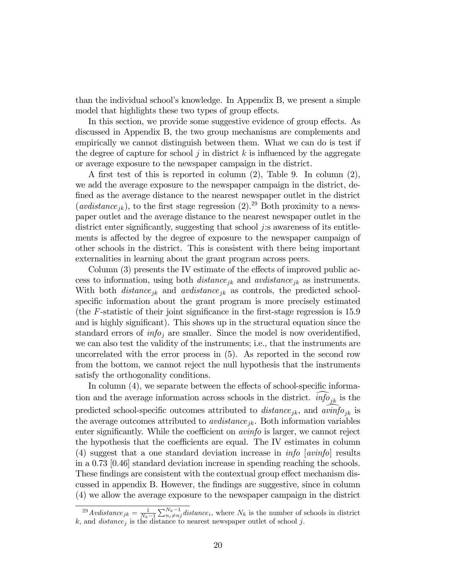than the individual school's knowledge. In Appendix B, we present a simple model that highlights these two types of group effects.

In this section, we provide some suggestive evidence of group effects. As discussed in Appendix B, the two group mechanisms are complements and empirically we cannot distinguish between them. What we can do is test if the degree of capture for school j in district  $k$  is influenced by the aggregate or average exposure to the newspaper campaign in the district.

A first test of this is reported in column (2), Table 9. In column (2), we add the average exposure to the newspaper campaign in the district, defined as the average distance to the nearest newspaper outlet in the district  $(avdistance_{jk})$ , to the first stage regression  $(2).^{29}$  Both proximity to a newspaper outlet and the average distance to the nearest newspaper outlet in the district enter significantly, suggesting that school j:s awareness of its entitlements is affected by the degree of exposure to the newspaper campaign of other schools in the district. This is consistent with there being important externalities in learning about the grant program across peers.

Column (3) presents the IV estimate of the effects of improved public access to information, using both  $distance_{jk}$  and  $avdistance_{jk}$  as instruments. With both  $distance_{ik}$  and  $avdistance_{ik}$  as controls, the predicted schoolspecific information about the grant program is more precisely estimated (the F-statistic of their joint significance in the first-stage regression is 15.9 and is highly significant). This shows up in the structural equation since the standard errors of  $info<sub>i</sub>$  are smaller. Since the model is now overidentified, we can also test the validity of the instruments; i.e., that the instruments are uncorrelated with the error process in (5). As reported in the second row from the bottom, we cannot reject the null hypothesis that the instruments satisfy the orthogonality conditions.

In column  $(4)$ , we separate between the effects of school-specific information and the average information across schools in the district.  $info_{jk}$  is the predicted school-specific outcomes attributed to distance<sub>jk</sub>, and avinfo ik the average outcomes attributed to  $avdistance_{jk}$ . Both information variables enter significantly. While the coefficient on avinfo is larger, we cannot reject the hypothesis that the coefficients are equal. The IV estimates in column (4) suggest that a one standard deviation increase in  $info$  [avinfo] results in a 0.73 [0.46] standard deviation increase in spending reaching the schools. These findings are consistent with the contextual group effect mechanism discussed in appendix B. However, the findings are suggestive, since in column (4) we allow the average exposure to the newspaper campaign in the district

<sup>&</sup>lt;sup>29</sup>Avdistance<sub>jk</sub> =  $\frac{1}{N_k-1} \sum_{i=1}^{N_k-1} distance_i$ , where  $N_k$  is the number of schools in district k, and  $distance_j$  is the distance to nearest newspaper outlet of school j.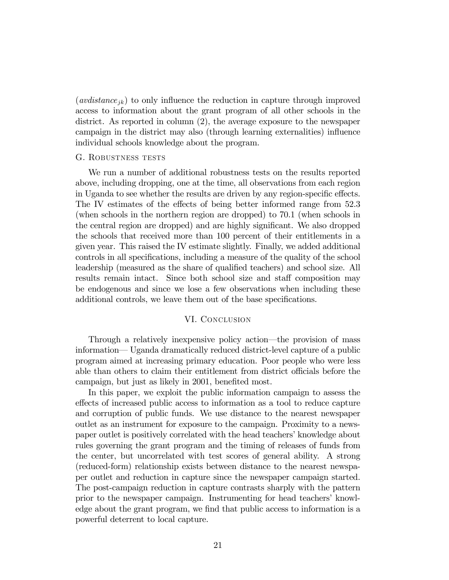$(avdistance_{ik})$  to only influence the reduction in capture through improved access to information about the grant program of all other schools in the district. As reported in column (2), the average exposure to the newspaper campaign in the district may also (through learning externalities) influence individual schools knowledge about the program.

#### G. ROBUSTNESS TESTS

We run a number of additional robustness tests on the results reported above, including dropping, one at the time, all observations from each region in Uganda to see whether the results are driven by any region-specific effects. The IV estimates of the effects of being better informed range from 52.3 (when schools in the northern region are dropped) to 70.1 (when schools in the central region are dropped) and are highly significant. We also dropped the schools that received more than 100 percent of their entitlements in a given year. This raised the IV estimate slightly. Finally, we added additional controls in all specifications, including a measure of the quality of the school leadership (measured as the share of qualified teachers) and school size. All results remain intact. Since both school size and staff composition may be endogenous and since we lose a few observations when including these additional controls, we leave them out of the base specifications.

#### VI. Conclusion

Through a relatively inexpensive policy action–the provision of mass information– Uganda dramatically reduced district-level capture of a public program aimed at increasing primary education. Poor people who were less able than others to claim their entitlement from district officials before the campaign, but just as likely in 2001, benefited most.

In this paper, we exploit the public information campaign to assess the effects of increased public access to information as a tool to reduce capture and corruption of public funds. We use distance to the nearest newspaper outlet as an instrument for exposure to the campaign. Proximity to a newspaper outlet is positively correlated with the head teachers' knowledge about rules governing the grant program and the timing of releases of funds from the center, but uncorrelated with test scores of general ability. A strong (reduced-form) relationship exists between distance to the nearest newspaper outlet and reduction in capture since the newspaper campaign started. The post-campaign reduction in capture contrasts sharply with the pattern prior to the newspaper campaign. Instrumenting for head teachers' knowledge about the grant program, we find that public access to information is a powerful deterrent to local capture.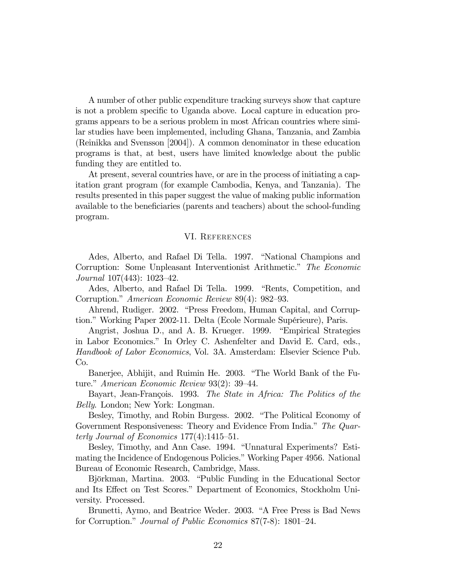A number of other public expenditure tracking surveys show that capture is not a problem specific to Uganda above. Local capture in education programs appears to be a serious problem in most African countries where similar studies have been implemented, including Ghana, Tanzania, and Zambia (Reinikka and Svensson [2004]). A common denominator in these education programs is that, at best, users have limited knowledge about the public funding they are entitled to.

At present, several countries have, or are in the process of initiating a capitation grant program (for example Cambodia, Kenya, and Tanzania). The results presented in this paper suggest the value of making public information available to the beneficiaries (parents and teachers) about the school-funding program.

#### VI. References

Ades, Alberto, and Rafael Di Tella. 1997. "National Champions and Corruption: Some Unpleasant Interventionist Arithmetic." The Economic Journal 107(443): 1023—42.

Ades, Alberto, and Rafael Di Tella. 1999. "Rents, Competition, and Corruption." American Economic Review 89(4): 982—93.

Ahrend, Rudiger. 2002. "Press Freedom, Human Capital, and Corruption." Working Paper 2002-11. Delta (Ecole Normale Supérieure), Paris.

Angrist, Joshua D., and A. B. Krueger. 1999. "Empirical Strategies in Labor Economics." In Orley C. Ashenfelter and David E. Card, eds., Handbook of Labor Economics, Vol. 3A. Amsterdam: Elsevier Science Pub. Co.

Banerjee, Abhijit, and Ruimin He. 2003. "The World Bank of the Future." American Economic Review 93(2): 39—44.

Bayart, Jean-François. 1993. The State in Africa: The Politics of the Belly. London; New York: Longman.

Besley, Timothy, and Robin Burgess. 2002. "The Political Economy of Government Responsiveness: Theory and Evidence From India." The Quarterly Journal of Economics 177(4):1415—51.

Besley, Timothy, and Ann Case. 1994. "Unnatural Experiments? Estimating the Incidence of Endogenous Policies." Working Paper 4956. National Bureau of Economic Research, Cambridge, Mass.

Björkman, Martina. 2003. "Public Funding in the Educational Sector and Its Effect on Test Scores." Department of Economics, Stockholm University. Processed.

Brunetti, Aymo, and Beatrice Weder. 2003. "A Free Press is Bad News for Corruption." Journal of Public Economics 87(7-8): 1801—24.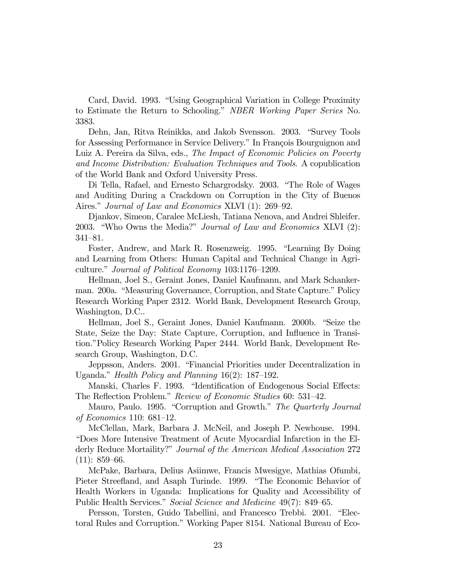Card, David. 1993. "Using Geographical Variation in College Proximity to Estimate the Return to Schooling." NBER Working Paper Series No. 3383.

Dehn, Jan, Ritva Reinikka, and Jakob Svensson. 2003. "Survey Tools for Assessing Performance in Service Delivery." In François Bourguignon and Luiz A. Pereira da Silva, eds., The Impact of Economic Policies on Poverty and Income Distribution: Evaluation Techniques and Tools. A copublication of the World Bank and Oxford University Press.

Di Tella, Rafael, and Ernesto Schargrodsky. 2003. "The Role of Wages and Auditing During a Crackdown on Corruption in the City of Buenos Aires." *Journal of Law and Economics XLVI* (1): 269–92.

Djankov, Simeon, Caralee McLiesh, Tatiana Nenova, and Andrei Shleifer. 2003. "Who Owns the Media?" Journal of Law and Economics XLVI (2): 341—81.

Foster, Andrew, and Mark R. Rosenzweig. 1995. "Learning By Doing and Learning from Others: Human Capital and Technical Change in Agriculture." Journal of Political Economy 103:1176—1209.

Hellman, Joel S., Geraint Jones, Daniel Kaufmann, and Mark Schankerman. 200a. "Measuring Governance, Corruption, and State Capture." Policy Research Working Paper 2312. World Bank, Development Research Group, Washington, D.C..

Hellman, Joel S., Geraint Jones, Daniel Kaufmann. 2000b. "Seize the State, Seize the Day: State Capture, Corruption, and Influence in Transition."Policy Research Working Paper 2444. World Bank, Development Research Group, Washington, D.C.

Jeppsson, Anders. 2001. "Financial Priorities under Decentralization in Uganda." Health Policy and Planning 16(2): 187—192.

Manski, Charles F. 1993. "Identification of Endogenous Social Effects: The Reflection Problem." Review of Economic Studies 60: 531—42.

Mauro, Paulo. 1995. "Corruption and Growth." The Quarterly Journal of Economics 110: 681—12.

McClellan, Mark, Barbara J. McNeil, and Joseph P. Newhouse. 1994. "Does More Intensive Treatment of Acute Myocardial Infarction in the Elderly Reduce Mortaility?" Journal of the American Medical Association 272  $(11): 859-66.$ 

McPake, Barbara, Delius Asiimwe, Francis Mwesigye, Mathias Ofumbi, Pieter Streefland, and Asaph Turinde. 1999. "The Economic Behavior of Health Workers in Uganda: Implications for Quality and Accessibility of Public Health Services." Social Science and Medicine 49(7): 849–65.

Persson, Torsten, Guido Tabellini, and Francesco Trebbi. 2001. "Electoral Rules and Corruption." Working Paper 8154. National Bureau of Eco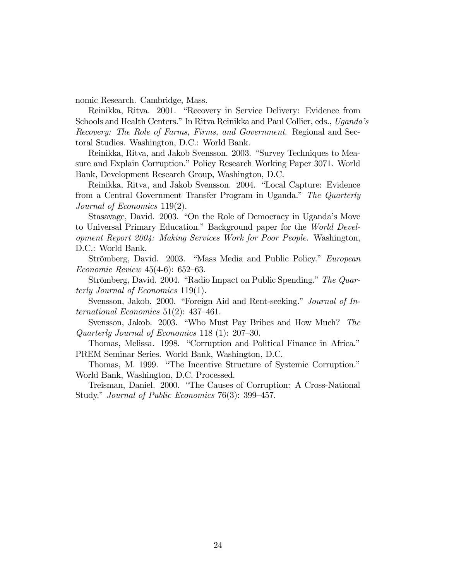nomic Research. Cambridge, Mass.

Reinikka, Ritva. 2001. "Recovery in Service Delivery: Evidence from Schools and Health Centers." In Ritva Reinikka and Paul Collier, eds., Uganda's Recovery: The Role of Farms, Firms, and Government. Regional and Sectoral Studies. Washington, D.C.: World Bank.

Reinikka, Ritva, and Jakob Svensson. 2003. "Survey Techniques to Measure and Explain Corruption." Policy Research Working Paper 3071. World Bank, Development Research Group, Washington, D.C.

Reinikka, Ritva, and Jakob Svensson. 2004. "Local Capture: Evidence from a Central Government Transfer Program in Uganda." The Quarterly Journal of Economics 119(2).

Stasavage, David. 2003. "On the Role of Democracy in Uganda's Move to Universal Primary Education." Background paper for the World Development Report 2004: Making Services Work for Poor People. Washington, D.C.: World Bank.

Strömberg, David. 2003. "Mass Media and Public Policy." European Economic Review 45(4-6): 652—63.

Strömberg, David. 2004. "Radio Impact on Public Spending." The Quarterly Journal of Economics 119(1).

Svensson, Jakob. 2000. "Foreign Aid and Rent-seeking." Journal of International Economics 51(2): 437—461.

Svensson, Jakob. 2003. "Who Must Pay Bribes and How Much? The Quarterly Journal of Economics 118 (1): 207—30.

Thomas, Melissa. 1998. "Corruption and Political Finance in Africa." PREM Seminar Series. World Bank, Washington, D.C.

Thomas, M. 1999. "The Incentive Structure of Systemic Corruption." World Bank, Washington, D.C. Processed.

Treisman, Daniel. 2000. "The Causes of Corruption: A Cross-National Study." Journal of Public Economics 76(3): 399—457.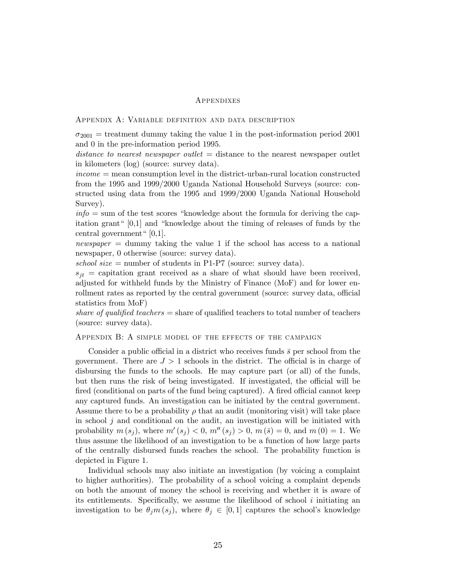#### Appendixes

#### Appendix A: Variable definition and data description

 $\sigma_{2001}$  = treatment dummy taking the value 1 in the post-information period 2001 and 0 in the pre-information period 1995.

distance to nearest newspaper outlet  $=$  distance to the nearest newspaper outlet in kilometers (log) (source: survey data).

 $income = mean$  consumption level in the district-urban-rural location constructed from the 1995 and 1999/2000 Uganda National Household Surveys (source: constructed using data from the 1995 and 1999/2000 Uganda National Household Survey).

 $info = sum of the test scores "knowledge about the formula for deriving the cap$ itation grant" [0,1] and "knowledge about the timing of releases of funds by the central government"  $[0,1]$ .

newspaper  $=$  dummy taking the value 1 if the school has access to a national newspaper, 0 otherwise (source: survey data).

school size  $=$  number of students in P1-P7 (source: survey data).

 $s_{it}$  = capitation grant received as a share of what should have been received, adjusted for withheld funds by the Ministry of Finance (MoF) and for lower enrollment rates as reported by the central government (source: survey data, official statistics from MoF)

share of qualified teachers  $=$  share of qualified teachers to total number of teachers (source: survey data).

#### Appendix B: A simple model of the effects of the campaign

Consider a public official in a district who receives funds  $\bar{s}$  per school from the government. There are  $J > 1$  schools in the district. The official is in charge of disbursing the funds to the schools. He may capture part (or all) of the funds, but then runs the risk of being investigated. If investigated, the official will be fired (conditional on parts of the fund being captured). A fired official cannot keep any captured funds. An investigation can be initiated by the central government. Assume there to be a probability  $\rho$  that an audit (monitoring visit) will take place in school  $j$  and conditional on the audit, an investigation will be initiated with probability  $m(s_j)$ , where  $m'(s_j) < 0$ ,  $m''(s_j) > 0$ ,  $m(\bar{s}) = 0$ , and  $m(0) = 1$ . We thus assume the likelihood of an investigation to be a function of how large parts of the centrally disbursed funds reaches the school. The probability function is depicted in Figure 1.

Individual schools may also initiate an investigation (by voicing a complaint to higher authorities). The probability of a school voicing a complaint depends on both the amount of money the school is receiving and whether it is aware of its entitlements. Specifically, we assume the likelihood of school i initiating an investigation to be  $\theta_j m(s_j)$ , where  $\theta_j \in [0,1]$  captures the school's knowledge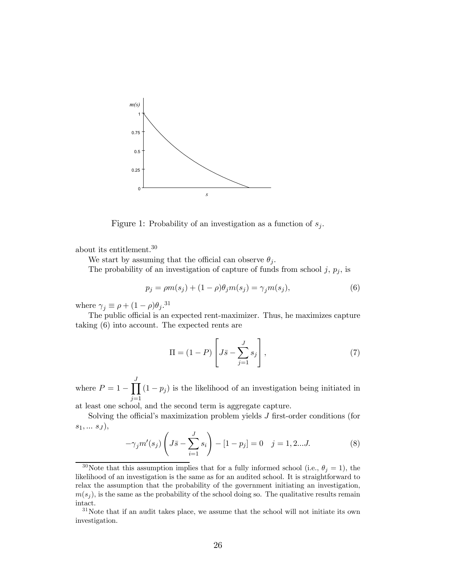

Figure 1: Probability of an investigation as a function of  $s_i$ .

about its entitlement.30

We start by assuming that the official can observe  $\theta_i$ .

The probability of an investigation of capture of funds from school  $j, p_j$ , is

$$
p_j = \rho m(s_j) + (1 - \rho)\theta_j m(s_j) = \gamma_j m(s_j),
$$
\n(6)

where  $\gamma_j \equiv \rho + (1 - \rho)\theta_j$ .<sup>31</sup>

The public official is an expected rent-maximizer. Thus, he maximizes capture taking (6) into account. The expected rents are

$$
\Pi = (1 - P) \left[ J\bar{s} - \sum_{j=1}^{J} s_j \right],\tag{7}
$$

where  $P = 1 - \prod_{i=1}^{J}$  $j=1$  $(1 - p_j)$  is the likelihood of an investigation being initiated in

at least one school, and the second term is aggregate capture.

Solving the official's maximization problem yields J first-order conditions (for  $s_1, \ldots s_J$ ),

$$
-\gamma_j m'(s_j) \left( J\bar{s} - \sum_{i=1}^J s_i \right) - [1 - p_j] = 0 \quad j = 1, 2...J. \tag{8}
$$

<sup>&</sup>lt;sup>30</sup>Note that this assumption implies that for a fully informed school (i.e.,  $\theta_j = 1$ ), the likelihood of an investigation is the same as for an audited school. It is straightforward to relax the assumption that the probability of the government initiating an investigation,  $m(s_i)$ , is the same as the probability of the school doing so. The qualitative results remain intact.

<sup>31</sup>Note that if an audit takes place, we assume that the school will not initiate its own investigation.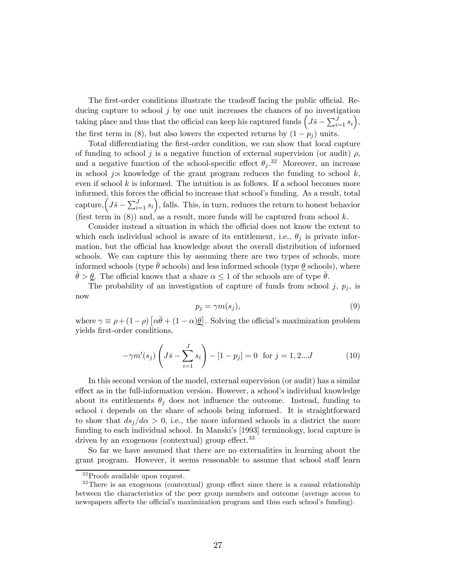The first-order conditions illustrate the tradeoff facing the public official. Reducing capture to school  $j$  by one unit increases the chances of no investigation taking place and thus that the official can keep his captured funds  $\left(J\bar{s}-\sum_{i=1}^J s_i\right)$ , the first term in (8), but also lowers the expected returns by  $(1 - p_i)$  units.

Total differentiating the first-order condition, we can show that local capture of funding to school j is a negative function of external supervision (or audit)  $\rho$ , and a negative function of the school-specific effect  $\theta_j$ .<sup>32</sup> Moreover, an increase in school j:s knowledge of the grant program reduces the funding to school  $k$ , even if school  $k$  is informed. The intuition is as follows. If a school becomes more informed, this forces the official to increase that school's funding. As a result, total capture,  $($ J $\bar{s} - \sum_{i=1}^{J} s_i$  $)$ , falls. This, in turn, reduces the return to honest behavior (first term in  $(8)$ ) and, as a result, more funds will be captured from school k.

Consider instead a situation in which the official does not know the extent to which each individual school is aware of its entitlement, i.e.,  $\theta_i$  is private information, but the official has knowledge about the overall distribution of informed schools. We can capture this by assuming there are two types of schools, more informed schools (type θ schools) and less informed schools (type  $\theta$  schools), where  $\bar{\theta} > \theta$ . The official knows that a share  $\alpha \leq 1$  of the schools are of type  $\bar{\theta}$ .

The probability of an investigation of capture of funds from school  $j, p_j$ , is now

$$
p_j = \gamma m(s_j),\tag{9}
$$

where  $\gamma \equiv \rho + (1 - \rho) [\alpha \bar{\theta} + (1 - \alpha) \underline{\theta}]$ . Solving the official's maximization problem yields first-order conditions,

$$
-\gamma m'(s_j) \left( J\bar{s} - \sum_{i=1}^J s_i \right) - [1 - p_j] = 0 \text{ for } j = 1, 2...J \tag{10}
$$

In this second version of the model, external supervision (or audit) has a similar effect as in the full-information version. However, a school's individual knowledge about its entitlements  $\theta_i$  does not influence the outcome. Instead, funding to school  $i$  depends on the share of schools being informed. It is straightforward to show that  $ds_i/d\alpha > 0$ , i.e., the more informed schools in a district the more funding to each individual school. In Manski's [1993] terminology, local capture is driven by an exogenous (contextual) group effect.<sup>33</sup>

So far we have assumed that there are no externalities in learning about the grant program. However, it seems reasonable to assume that school staff learn

<sup>32</sup>Proofs available upon request.

<sup>&</sup>lt;sup>33</sup>There is an exogenous (contextual) group effect since there is a causal relationship between the characteristics of the peer group members and outcome (average access to newspapers affects the official's maximization program and thus each school's funding).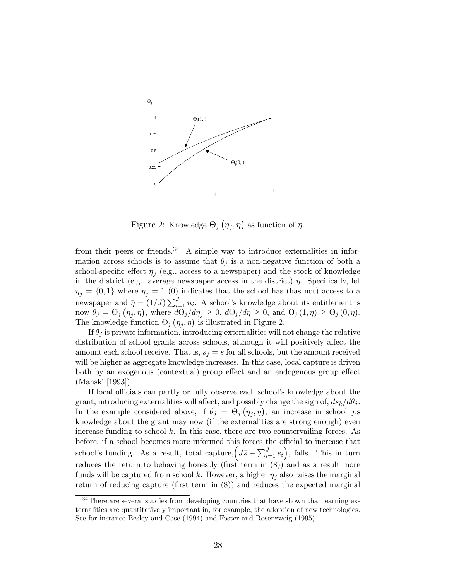

Figure 2: Knowledge  $\Theta_j(\eta_j, \eta)$  as function of  $\eta$ .

from their peers or friends.<sup>34</sup> A simple way to introduce externalities in information across schools is to assume that  $\theta_j$  is a non-negative function of both a school-specific effect  $\eta_i$  (e.g., access to a newspaper) and the stock of knowledge in the district (e.g., average newspaper access in the district)  $\eta$ . Specifically, let  $\eta_j = \{0,1\}$  where  $\eta_j = 1$  (0) indicates that the school has (has not) access to a newspaper and  $\bar{\eta} = (1/J) \sum_{i=1}^{J} n_i$ . A school's knowledge about its entitlement is now  $\theta_j = \Theta_j(\eta_j, \eta)$ , where  $\frac{d\Theta_j}{d\eta_j} \geq 0$ ,  $d\Theta_j/d\eta \geq 0$ , and  $\Theta_j(1, \eta) \geq \Theta_j(0, \eta)$ . The knowledge function  $\Theta_j(\eta_j, \eta)$  is illustrated in Figure 2.

If  $\theta_j$  is private information, introducing externalities will not change the relative distribution of school grants across schools, although it will positively affect the amount each school receive. That is,  $s_j = s$  for all schools, but the amount received will be higher as aggregate knowledge increases. In this case, local capture is driven both by an exogenous (contextual) group effect and an endogenous group effect (Manski [1993]).

If local officials can partly or fully observe each school's knowledge about the grant, introducing externalities will affect, and possibly change the sign of,  $ds_k/d\theta_j$ . In the example considered above, if  $\theta_j = \Theta_j(\eta_j, \eta)$ , an increase in school j.s knowledge about the grant may now (if the externalities are strong enough) even increase funding to school  $k$ . In this case, there are two countervailing forces. As before, if a school becomes more informed this forces the official to increase that school's funding. As a result, total capture,  $(J\bar{s} - \sum_{i=1}^{J}s_i)$ , falls. This in turn reduces the return to behaving honestly (first term in (8)) and as a result more funds will be captured from school k. However, a higher  $\eta_i$  also raises the marginal return of reducing capture (first term in (8)) and reduces the expected marginal

 $34$ There are several studies from developing countries that have shown that learning externalities are quantitatively important in, for example, the adoption of new technologies. See for instance Besley and Case (1994) and Foster and Rosenzweig (1995).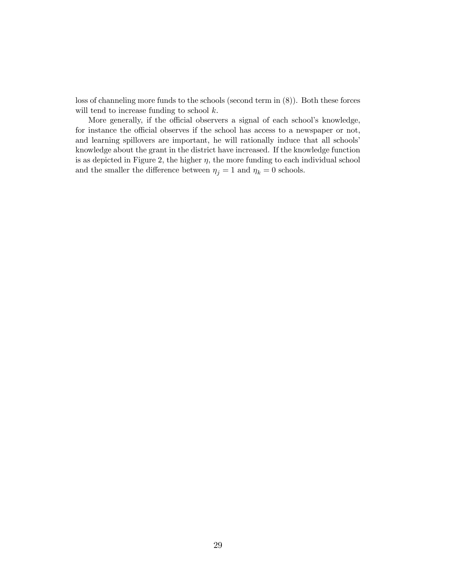loss of channeling more funds to the schools (second term in (8)). Both these forces will tend to increase funding to school  $k$ .

More generally, if the official observers a signal of each school's knowledge, for instance the official observes if the school has access to a newspaper or not, and learning spillovers are important, he will rationally induce that all schools' knowledge about the grant in the district have increased. If the knowledge function is as depicted in Figure 2, the higher  $\eta$ , the more funding to each individual school and the smaller the difference between  $\eta_j=1$  and  $\eta_k=0$  schools.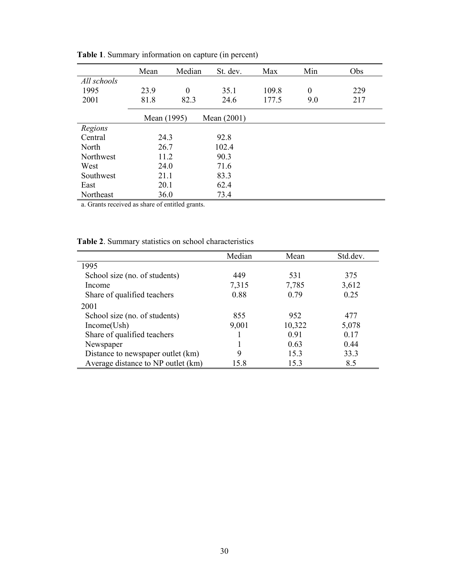|             | Mean        | Median           | St. dev.      | Max   | Min              | Obs |
|-------------|-------------|------------------|---------------|-------|------------------|-----|
| All schools |             |                  |               |       |                  |     |
| 1995        | 23.9        | $\boldsymbol{0}$ | 35.1          | 109.8 | $\boldsymbol{0}$ | 229 |
| 2001        | 81.8        | 82.3             | 24.6          | 177.5 | 9.0              | 217 |
|             | Mean (1995) |                  | Mean $(2001)$ |       |                  |     |
| Regions     |             |                  |               |       |                  |     |
| Central     | 24.3        |                  | 92.8          |       |                  |     |
| North       | 26.7        |                  | 102.4         |       |                  |     |
| Northwest   | 11.2        |                  | 90.3          |       |                  |     |
| West        | 24.0        |                  | 71.6          |       |                  |     |
| Southwest   | 21.1        |                  | 83.3          |       |                  |     |
| East        | 20.1        |                  | 62.4          |       |                  |     |
| Northeast   | 36.0        |                  | 73.4          |       |                  |     |

 **Table 1**. Summary information on capture (in percent)

a. Grants received as share of entitled grants.

| <b>Table 2.</b> Summary statistics on school characteristics |  |  |  |
|--------------------------------------------------------------|--|--|--|
|                                                              |  |  |  |

|                                    | Median | Mean   | Std.dev. |
|------------------------------------|--------|--------|----------|
| 1995                               |        |        |          |
| School size (no. of students)      | 449    | 531    | 375      |
| Income                             | 7,315  | 7,785  | 3,612    |
| Share of qualified teachers        | 0.88   | 0.79   | 0.25     |
| 2001                               |        |        |          |
| School size (no. of students)      | 855    | 952    | 477      |
| Income(Ush)                        | 9,001  | 10,322 | 5,078    |
| Share of qualified teachers        |        | 0.91   | 0.17     |
| Newspaper                          |        | 0.63   | 0.44     |
| Distance to newspaper outlet (km)  | 9      | 15.3   | 33.3     |
| Average distance to NP outlet (km) | 15.8   | 15.3   | 8.5      |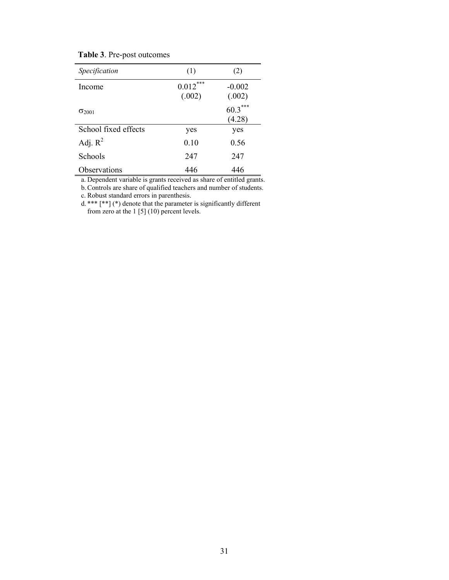|  |  | Table 3. Pre-post outcomes |
|--|--|----------------------------|
|--|--|----------------------------|

| Specification        | (1)                                   | (2)                 |
|----------------------|---------------------------------------|---------------------|
| Income               | $***$<br>$0.012^{^{\circ}}$<br>(.002) | $-0.002$<br>(.002)  |
| $\sigma_{2001}$      |                                       | $60.3***$<br>(4.28) |
| School fixed effects | yes                                   | yes                 |
| Adj. $R^2$           | 0.10                                  | 0.56                |
| Schools              | 247                                   | 247                 |
| Observations         | 446                                   | 446                 |

a. Dependent variable is grants received as share of entitled grants.

b. Controls are share of qualified teachers and number of students.

c. Robust standard errors in parenthesis.

d. \*\*\* [\*\*] (\*) denote that the parameter is significantly different from zero at the 1 [5] (10) percent levels.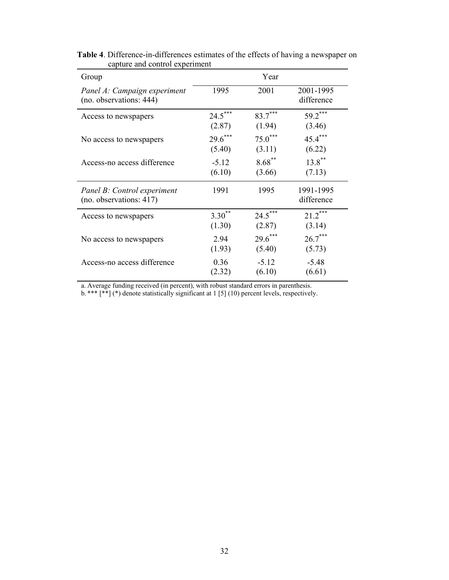| Group                                                   |           | Year      |                         |
|---------------------------------------------------------|-----------|-----------|-------------------------|
| Panel A: Campaign experiment<br>(no. observations: 444) | 1995      | 2001      | 2001-1995<br>difference |
| Access to newspapers                                    | $24.5***$ | $83.7***$ | $59.2***$               |
|                                                         | (2.87)    | (1.94)    | (3.46)                  |
| No access to newspapers                                 | $29.6***$ | $75.0***$ | $45.4***$               |
|                                                         | (5.40)    | (3.11)    | (6.22)                  |
| Access-no access difference                             | $-5.12$   | $8.68***$ | $13.8$ **               |
|                                                         | (6.10)    | (3.66)    | (7.13)                  |
| Panel B: Control experiment<br>(no. observations: 417)  | 1991      | 1995      | 1991-1995<br>difference |
| Access to newspapers                                    | $3.30***$ | $24.5***$ | $21.2***$               |
|                                                         | (1.30)    | (2.87)    | (3.14)                  |
| No access to newspapers                                 | 2.94      | $29.6***$ | $26.7***$               |
|                                                         | (1.93)    | (5.40)    | (5.73)                  |
| Access-no access difference                             | 0.36      | $-5.12$   | $-5.48$                 |
|                                                         | (2.32)    | (6.10)    | (6.61)                  |

**Table 4**. Difference-in-differences estimates of the effects of having a newspaper on capture and control experiment

a. Average funding received (in percent), with robust standard errors in parenthesis.

b. \*\*\*  $[**]$  (\*) denote statistically significant at 1 [5] (10) percent levels, respectively.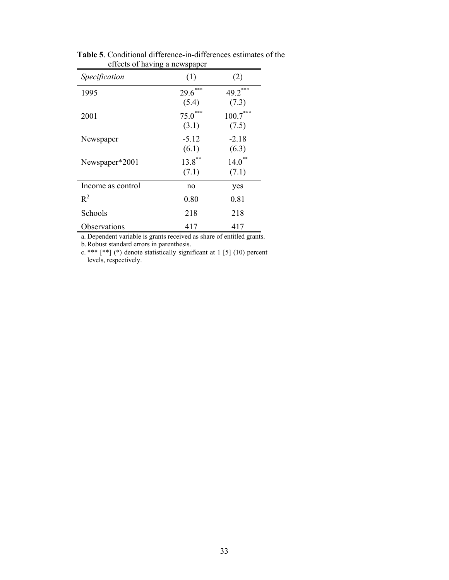| erretts of naving a newspaper |           |                         |
|-------------------------------|-----------|-------------------------|
| Specification                 | (1)       | (2)                     |
| 1995                          | $29.6***$ | ***<br>$49.2^{\degree}$ |
|                               | (5.4)     | (7.3)                   |
| 2001                          | $75.0***$ | $100.7***$              |
|                               | (3.1)     | (7.5)                   |
| Newspaper                     | $-5.12$   | $-2.18$                 |
|                               | (6.1)     | (6.3)                   |
| Newspaper*2001                | $13.8$ ** | $14.0***$               |
|                               | (7.1)     | (7.1)                   |
| Income as control             | no        | yes                     |
| $R^2$                         | 0.80      | 0.81                    |
| Schools                       | 218       | 218                     |
| Observations                  | 417       | 417                     |

 **Table 5**. Conditional difference-in-differences estimates of the effects of having a newspaper

a. Dependent variable is grants received as share of entitled grants.

b. Robust standard errors in parenthesis.

c. \*\*\*  $[**]$  (\*) denote statistically significant at 1 [5] (10) percent levels, respectively.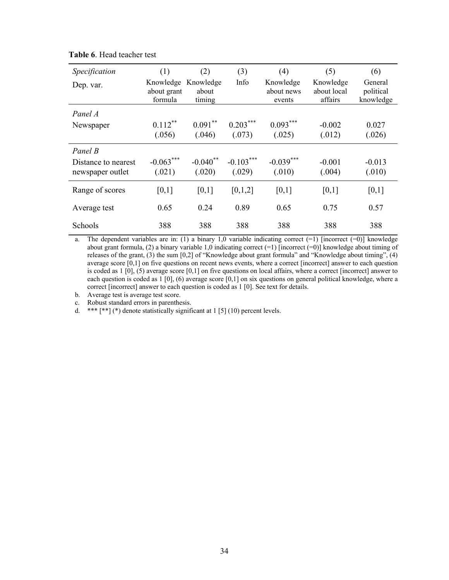| Specification                                      | (1)                                 | (2)                          | (3)                   | (4)                               | (5)                                 | (6)                               |
|----------------------------------------------------|-------------------------------------|------------------------------|-----------------------|-----------------------------------|-------------------------------------|-----------------------------------|
| Dep. var.                                          | Knowledge<br>about grant<br>formula | Knowledge<br>about<br>timing | Info                  | Knowledge<br>about news<br>events | Knowledge<br>about local<br>affairs | General<br>political<br>knowledge |
| Panel A                                            |                                     |                              |                       |                                   |                                     |                                   |
| Newspaper                                          | $0.112***$<br>(.056)                | $0.091***$<br>(.046)         | $0.203***$<br>(.073)  | $0.093***$<br>(.025)              | $-0.002$<br>(.012)                  | 0.027<br>(.026)                   |
| Panel B<br>Distance to nearest<br>newspaper outlet | $-0.063***$<br>(.021)               | $-0.040$ **<br>(.020)        | $-0.103***$<br>(.029) | $-0.039***$<br>(.010)             | $-0.001$<br>(.004)                  | $-0.013$<br>(.010)                |
| Range of scores                                    | [0,1]                               | [0,1]                        | [0,1,2]               | [0,1]                             | [0,1]                               | [0,1]                             |
| Average test                                       | 0.65                                | 0.24                         | 0.89                  | 0.65                              | 0.75                                | 0.57                              |
| Schools                                            | 388                                 | 388                          | 388                   | 388                               | 388                                 | 388                               |

**Table 6**. Head teacher test

a. The dependent variables are in: (1) a binary 1,0 variable indicating correct  $(=1)$  [incorrect  $(=0)$ ] knowledge about grant formula, (2) a binary variable 1,0 indicating correct  $(=1)$  [incorrect  $(=0)$ ] knowledge about timing of releases of the grant, (3) the sum [0,2] of "Knowledge about grant formula" and "Knowledge about timing", (4) average score [0,1] on five questions on recent news events, where a correct [incorrect] answer to each question is coded as 1 [0], (5) average score [0,1] on five questions on local affairs, where a correct [incorrect] answer to each question is coded as  $1 \cdot [0]$ , (6) average score  $[0,1]$  on six questions on general political knowledge, where a correct [incorrect] answer to each question is coded as 1 [0]. See text for details.

b. Average test is average test score.

c. Robust standard errors in parenthesis.

d. \*\*\*  $[**]$  (\*) denote statistically significant at 1 [5] (10) percent levels.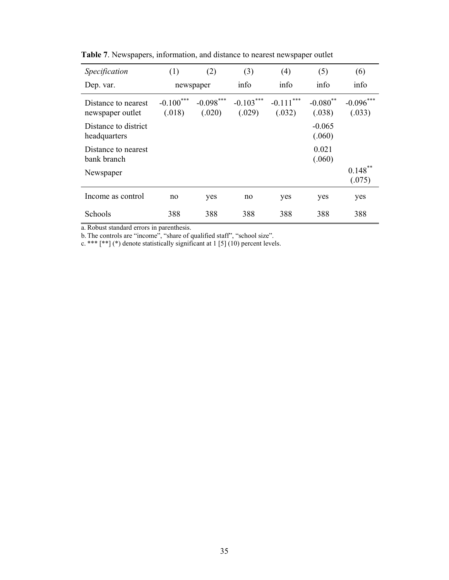| Specification                           | (1)                       | (2)                   | (3)                   | (4)                       | (5)                   | (6)                   |
|-----------------------------------------|---------------------------|-----------------------|-----------------------|---------------------------|-----------------------|-----------------------|
| Dep. var.                               | newspaper                 |                       | info                  | info                      | info                  | info                  |
| Distance to nearest<br>newspaper outlet | ***<br>$-0.100$<br>(.018) | $-0.098***$<br>(.020) | $-0.103***$<br>(.029) | ***<br>$-0.111$<br>(.032) | $-0.080$ **<br>(.038) | $-0.096***$<br>(.033) |
| Distance to district<br>headquarters    |                           |                       |                       |                           | $-0.065$<br>(.060)    |                       |
| Distance to nearest<br>bank branch      |                           |                       |                       |                           | 0.021<br>(.060)       |                       |
| Newspaper                               |                           |                       |                       |                           |                       | 0.148<br>(.075)       |
| Income as control                       | no                        | yes                   | no                    | yes                       | yes                   | yes                   |
| Schools                                 | 388                       | 388                   | 388                   | 388                       | 388                   | 388                   |

**Table 7**. Newspapers, information, and distance to nearest newspaper outlet

a. Robust standard errors in parenthesis.

b. The controls are "income", "share of qualified staff", "school size".

c. \*\*\*  $[$ \*\*] (\*) denote statistically significant at 1 [5] (10) percent levels.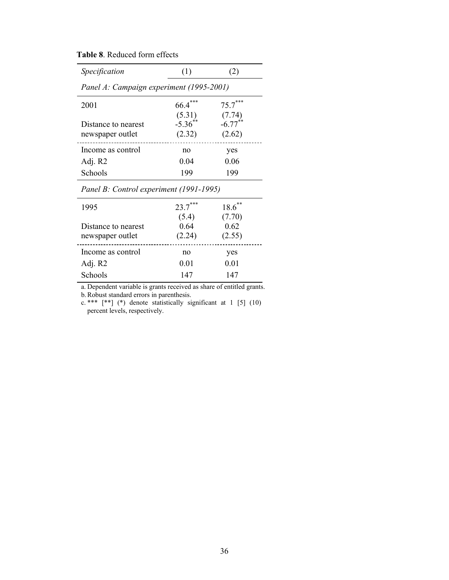**Table 8**. Reduced form effects

| Specification                            | (1)                   | (2)                  |
|------------------------------------------|-----------------------|----------------------|
| Panel A: Campaign experiment (1995-2001) |                       |                      |
| 2001                                     | 66.4                  | $75.7***$            |
|                                          | (5.31)                | (7.74)               |
| Distance to nearest                      | $-5.36$ <sup>**</sup> | $-6.77$ <sup>*</sup> |
| newspaper outlet                         | (2.32)                | (2.62)               |
| Income as control                        | no                    | yes                  |
| Adj. R2                                  | 0.04                  | 0.06                 |
| Schools                                  | 199                   | 199                  |
| Panel B: Control experiment (1991-1995)  |                       |                      |

| 1995                                    | $23.7***$               | $18.6***$                |  |
|-----------------------------------------|-------------------------|--------------------------|--|
| Distance to nearest<br>newspaper outlet | (5.4)<br>0.64<br>(2.24) | (7.70)<br>0.62<br>(2.55) |  |
| Income as control                       | no                      | yes                      |  |
| Adj. R2                                 | 0.01                    | 0.01                     |  |
| Schools                                 | 147                     | 147                      |  |

a. Dependent variable is grants received as share of entitled grants.

b. Robust standard errors in parenthesis.

c. \*\*\*  $[**]$  (\*) denote statistically significant at 1 [5] (10) percent levels, respectively.